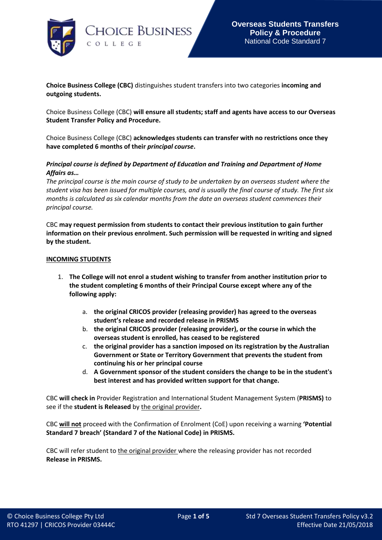

**Choice Business College (CBC)** distinguishes student transfers into two categories **incoming and outgoing students.**

Choice Business College (CBC) **will ensure all students; staff and agents have access to our Overseas Student Transfer Policy and Procedure.** 

Choice Business College (CBC) **acknowledges students can transfer with no restrictions once they have completed 6 months of their** *principal course***.**

# *Principal course is defined by Department of Education and Training and Department of Home Affairs as…*

*The principal course is the main course of study to be undertaken by an overseas student where the student visa has been issued for multiple courses, and is usually the final course of study. The first six months is calculated as six calendar months from the date an overseas student commences their principal course.*

CBC **may request permission from students to contact their previous institution to gain further information on their previous enrolment. Such permission will be requested in writing and signed by the student.**

#### **INCOMING STUDENTS**

- 1. **The College will not enrol a student wishing to transfer from another institution prior to the student completing 6 months of their Principal Course except where any of the following apply:**
	- a. **the original CRICOS provider (releasing provider) has agreed to the overseas student's release and recorded release in PRISMS**
	- b. **the original CRICOS provider (releasing provider), or the course in which the overseas student is enrolled, has ceased to be registered**
	- c. **the original provider has a sanction imposed on its registration by the Australian Government or State or Territory Government that prevents the student from continuing his or her principal course**
	- d. **A Government sponsor of the student considers the change to be in the student's best interest and has provided written support for that change.**

CBC **will check in** Provider Registration and International Student Management System (**PRISMS)** to see if the **student is Released** by the original provider**.** 

CBC **will not** proceed with the Confirmation of Enrolment (CoE) upon receiving a warning **'Potential Standard 7 breach' (Standard 7 of the National Code) in PRISMS.**

CBC will refer student to the original provider where the releasing provider has not recorded **Release in PRISMS.**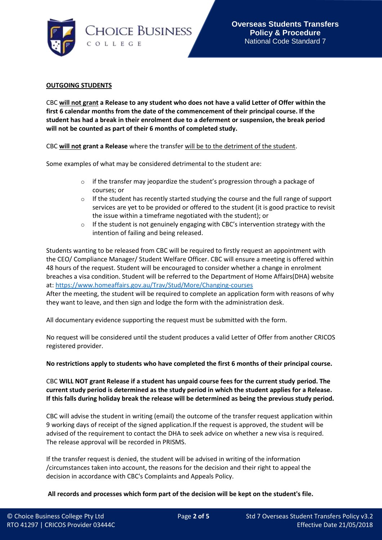

### **OUTGOING STUDENTS**

CBC **will not grant a Release to any student who does not have a valid Letter of Offer within the first 6 calendar months from the date of the commencement of their principal course. If the student has had a break in their enrolment due to a deferment or suspension, the break period will not be counted as part of their 6 months of completed study.**

CBC **will not grant a Release** where the transfer will be to the detriment of the student.

Some examples of what may be considered detrimental to the student are:

- $\circ$  if the transfer may jeopardize the student's progression through a package of courses; or
- $\circ$  If the student has recently started studying the course and the full range of support services are yet to be provided or offered to the student (it is good practice to revisit the issue within a timeframe negotiated with the student); or
- $\circ$  If the student is not genuinely engaging with CBC's intervention strategy with the intention of failing and being released.

Students wanting to be released from CBC will be required to firstly request an appointment with the CEO/ Compliance Manager/ Student Welfare Officer. CBC will ensure a meeting is offered within 48 hours of the request. Student will be encouraged to consider whether a change in enrolment breaches a visa condition. Student will be referred to the Department of Home Affairs(DHA) website at:<https://www.homeaffairs.gov.au/Trav/Stud/More/Changing-courses>

After the meeting, the student will be required to complete an application form with reasons of why they want to leave, and then sign and lodge the form with the administration desk.

All documentary evidence supporting the request must be submitted with the form.

No request will be considered until the student produces a valid Letter of Offer from another CRICOS registered provider.

**No restrictions apply to students who have completed the first 6 months of their principal course.**

CBC **WILL NOT grant Release if a student has unpaid course fees for the current study period. The current study period is determined as the study period in which the student applies for a Release. If this falls during holiday break the release will be determined as being the previous study period.**

CBC will advise the student in writing (email) the outcome of the transfer request application within 9 working days of receipt of the signed application.If the request is approved, the student will be advised of the requirement to contact the DHA to seek advice on whether a new visa is required. The release approval will be recorded in PRISMS.

If the transfer request is denied, the student will be advised in writing of the information /circumstances taken into account, the reasons for the decision and their right to appeal the decision in accordance with CBC's Complaints and Appeals Policy.

**All records and processes which form part of the decision will be kept on the student's file.**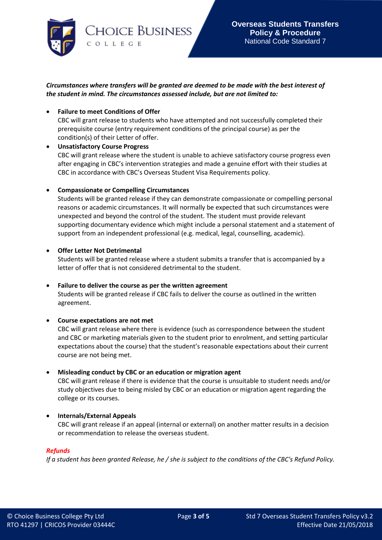

# *Circumstances where transfers will be granted are deemed to be made with the best interest of the student in mind. The circumstances assessed include, but are not limited to:*

## • **Failure to meet Conditions of Offer**

CBC will grant release to students who have attempted and not successfully completed their prerequisite course (entry requirement conditions of the principal course) as per the condition(s) of their Letter of offer.

### • **Unsatisfactory Course Progress** CBC will grant release where the student is unable to achieve satisfactory course progress even after engaging in CBC's intervention strategies and made a genuine effort with their studies at CBC in accordance with CBC's Overseas Student Visa Requirements policy.

## • **Compassionate or Compelling Circumstances**

Students will be granted release if they can demonstrate compassionate or compelling personal reasons or academic circumstances. It will normally be expected that such circumstances were unexpected and beyond the control of the student. The student must provide relevant supporting documentary evidence which might include a personal statement and a statement of support from an independent professional (e.g. medical, legal, counselling, academic).

## • **Offer Letter Not Detrimental**

Students will be granted release where a student submits a transfer that is accompanied by a letter of offer that is not considered detrimental to the student.

### • **Failure to deliver the course as per the written agreement**

Students will be granted release if CBC fails to deliver the course as outlined in the written agreement.

### • **Course expectations are not met**

CBC will grant release where there is evidence (such as correspondence between the student and CBC or marketing materials given to the student prior to enrolment, and setting particular expectations about the course) that the student's reasonable expectations about their current course are not being met.

### • **Misleading conduct by CBC or an education or migration agent**

CBC will grant release if there is evidence that the course is unsuitable to student needs and/or study objectives due to being misled by CBC or an education or migration agent regarding the college or its courses.

# • **Internals/External Appeals**

CBC will grant release if an appeal (internal or external) on another matter results in a decision or recommendation to release the overseas student.

### *Refunds*

*If a student has been granted Release, he / she is subject to the conditions of the CBC's Refund Policy.*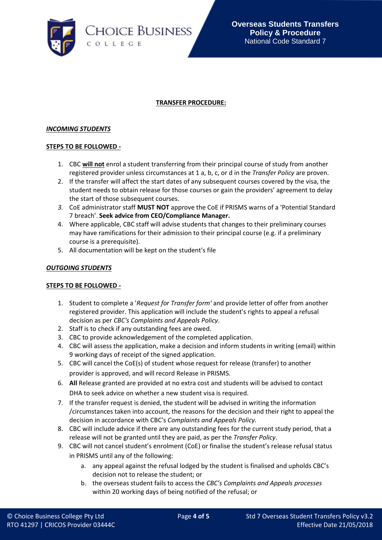

## **TRANSFER PROCEDURE:**

### *INCOMING STUDENTS*

### **STEPS TO BE FOLLOWED -**

- 1. CBC **will not** enrol a student transferring from their principal course of study from another registered provider unless circumstances at 1 a, b, c, or d in the *Transfer Policy* are proven.
- 2. If the transfer will affect the start dates of any subsequent courses covered by the visa, the student needs to obtain release for those courses or gain the providers' agreement to delay the start of those subsequent courses.
- *3.* CoE administrator staff **MUST NOT** approve the CoE if PRISMS warns of a 'Potential Standard 7 breach'. **Seek advice from CEO/Compliance Manager.**
- 4. Where applicable, CBC staff will advise students that changes to their preliminary courses may have ramifications for their admission to their principal course (e.g. if a preliminary course is a prerequisite).
- 5. All documentation will be kept on the student's file

### *OUTGOING STUDENTS*

### **STEPS TO BE FOLLOWED -**

- 1. Student to complete a '*Request for Transfer form'* and provide letter of offer from another registered provider. This application will include the student's rights to appeal a refusal decision as per *CBC's Complaints and Appeals Policy*.
- 2. Staff is to check if any outstanding fees are owed.
- 3. CBC to provide acknowledgement of the completed application.
- 4. CBC will assess the application, make a decision and inform students in writing (email) within 9 working days of receipt of the signed application.
- 5. CBC will cancel the CoE(s) of student whose request for release (transfer) to another provider is approved, and will record Release in PRISMS.
- 6. **All** Release granted are provided at no extra cost and students will be advised to contact DHA to seek advice on whether a new student visa is required.
- 7. If the transfer request is denied, the student will be advised in writing the information /circumstances taken into account, the reasons for the decision and their right to appeal the decision in accordance with CBC's *Complaints and Appeals Policy.*
- 8. CBC will include advice if there are any outstanding fees for the current study period, that a release will not be granted until they are paid, as per the *Transfer Policy*.
- 9. CBC will not cancel student's enrolment (CoE) or finalise the student's release refusal status in PRISMS until any of the following:
	- a. any appeal against the refusal lodged by the student is finalised and upholds CBC's decision not to release the student; or
	- b. the overseas student fails to access the *CBC's Complaints and Appeals processes* within 20 working days of being notified of the refusal; or